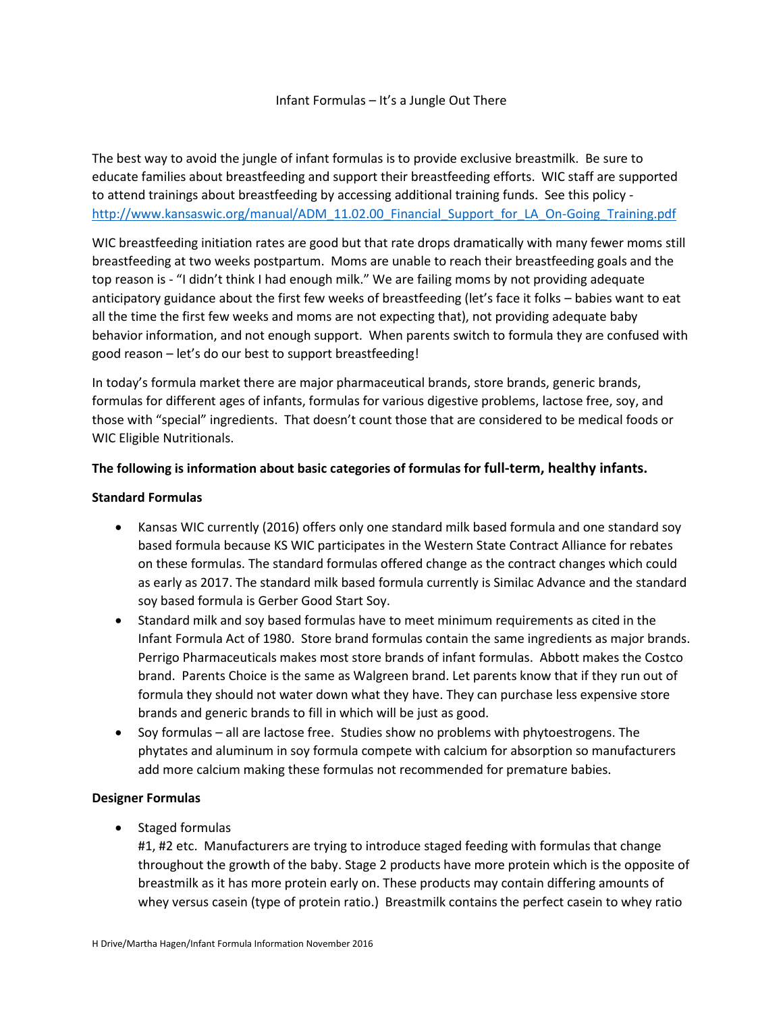## Infant Formulas – It's a Jungle Out There

The best way to avoid the jungle of infant formulas is to provide exclusive breastmilk. Be sure to educate families about breastfeeding and support their breastfeeding efforts. WIC staff are supported to attend trainings about breastfeeding by accessing additional training funds. See this policy [http://www.kansaswic.org/manual/ADM\\_11.02.00\\_Financial\\_Support\\_for\\_LA\\_On-Going\\_Training.pdf](http://www.kansaswic.org/manual/ADM_11.02.00_Financial_Support_for_LA_On-Going_Training.pdf)

WIC breastfeeding initiation rates are good but that rate drops dramatically with many fewer moms still breastfeeding at two weeks postpartum. Moms are unable to reach their breastfeeding goals and the top reason is - "I didn't think I had enough milk." We are failing moms by not providing adequate anticipatory guidance about the first few weeks of breastfeeding (let's face it folks – babies want to eat all the time the first few weeks and moms are not expecting that), not providing adequate baby behavior information, and not enough support. When parents switch to formula they are confused with good reason – let's do our best to support breastfeeding!

In today's formula market there are major pharmaceutical brands, store brands, generic brands, formulas for different ages of infants, formulas for various digestive problems, lactose free, soy, and those with "special" ingredients. That doesn't count those that are considered to be medical foods or WIC Eligible Nutritionals.

## **The following is information about basic categories of formulas for full-term, healthy infants.**

## **Standard Formulas**

- Kansas WIC currently (2016) offers only one standard milk based formula and one standard soy based formula because KS WIC participates in the Western State Contract Alliance for rebates on these formulas. The standard formulas offered change as the contract changes which could as early as 2017. The standard milk based formula currently is Similac Advance and the standard soy based formula is Gerber Good Start Soy.
- Standard milk and soy based formulas have to meet minimum requirements as cited in the Infant Formula Act of 1980. Store brand formulas contain the same ingredients as major brands. Perrigo Pharmaceuticals makes most store brands of infant formulas. Abbott makes the Costco brand. Parents Choice is the same as Walgreen brand. Let parents know that if they run out of formula they should not water down what they have. They can purchase less expensive store brands and generic brands to fill in which will be just as good.
- Soy formulas all are lactose free. Studies show no problems with phytoestrogens. The phytates and aluminum in soy formula compete with calcium for absorption so manufacturers add more calcium making these formulas not recommended for premature babies.

## **Designer Formulas**

• Staged formulas

#1, #2 etc. Manufacturers are trying to introduce staged feeding with formulas that change throughout the growth of the baby. Stage 2 products have more protein which is the opposite of breastmilk as it has more protein early on. These products may contain differing amounts of whey versus casein (type of protein ratio.) Breastmilk contains the perfect casein to whey ratio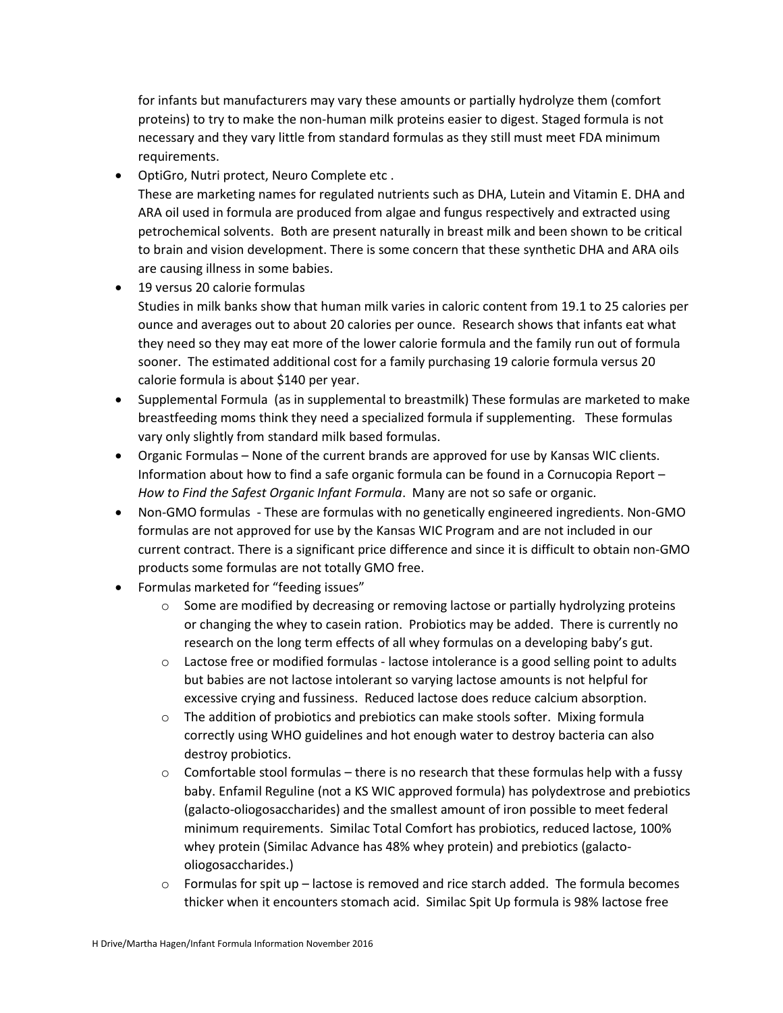for infants but manufacturers may vary these amounts or partially hydrolyze them (comfort proteins) to try to make the non-human milk proteins easier to digest. Staged formula is not necessary and they vary little from standard formulas as they still must meet FDA minimum requirements.

- OptiGro, Nutri protect, Neuro Complete etc .
- These are marketing names for regulated nutrients such as DHA, Lutein and Vitamin E. DHA and ARA oil used in formula are produced from algae and fungus respectively and extracted using petrochemical solvents. Both are present naturally in breast milk and been shown to be critical to brain and vision development. There is some concern that these synthetic DHA and ARA oils are causing illness in some babies.
- 19 versus 20 calorie formulas

Studies in milk banks show that human milk varies in caloric content from 19.1 to 25 calories per ounce and averages out to about 20 calories per ounce. Research shows that infants eat what they need so they may eat more of the lower calorie formula and the family run out of formula sooner. The estimated additional cost for a family purchasing 19 calorie formula versus 20 calorie formula is about \$140 per year.

- Supplemental Formula (as in supplemental to breastmilk) These formulas are marketed to make breastfeeding moms think they need a specialized formula if supplementing. These formulas vary only slightly from standard milk based formulas.
- Organic Formulas None of the current brands are approved for use by Kansas WIC clients. Information about how to find a safe organic formula can be found in a Cornucopia Report – *How to Find the Safest Organic Infant Formula*. Many are not so safe or organic.
- Non-GMO formulas These are formulas with no genetically engineered ingredients. Non-GMO formulas are not approved for use by the Kansas WIC Program and are not included in our current contract. There is a significant price difference and since it is difficult to obtain non-GMO products some formulas are not totally GMO free.
- Formulas marketed for "feeding issues"
	- $\circ$  Some are modified by decreasing or removing lactose or partially hydrolyzing proteins or changing the whey to casein ration. Probiotics may be added. There is currently no research on the long term effects of all whey formulas on a developing baby's gut.
	- o Lactose free or modified formulas lactose intolerance is a good selling point to adults but babies are not lactose intolerant so varying lactose amounts is not helpful for excessive crying and fussiness. Reduced lactose does reduce calcium absorption.
	- $\circ$  The addition of probiotics and prebiotics can make stools softer. Mixing formula correctly using WHO guidelines and hot enough water to destroy bacteria can also destroy probiotics.
	- $\circ$  Comfortable stool formulas there is no research that these formulas help with a fussy baby. Enfamil Reguline (not a KS WIC approved formula) has polydextrose and prebiotics (galacto-oliogosaccharides) and the smallest amount of iron possible to meet federal minimum requirements. Similac Total Comfort has probiotics, reduced lactose, 100% whey protein (Similac Advance has 48% whey protein) and prebiotics (galactooliogosaccharides.)
	- $\circ$  Formulas for spit up lactose is removed and rice starch added. The formula becomes thicker when it encounters stomach acid. Similac Spit Up formula is 98% lactose free